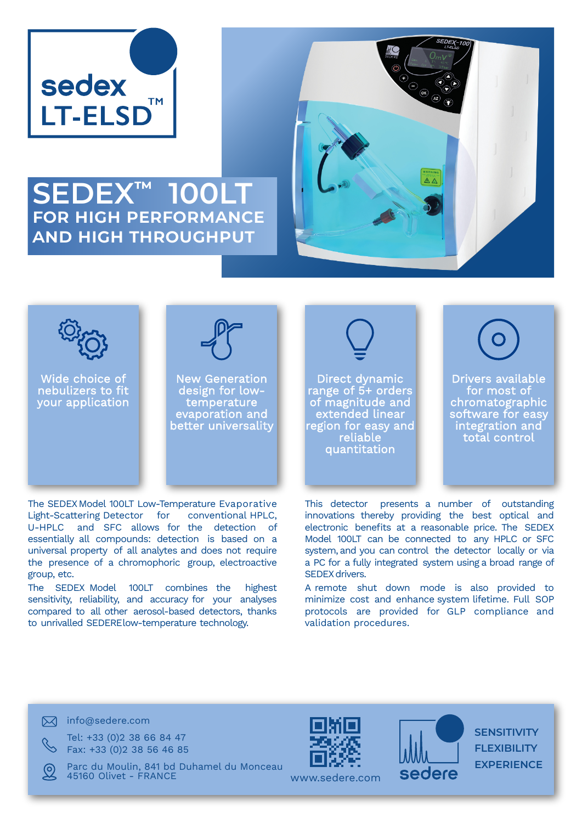

## **SEDEX™ 100LT for high performance and high throughput**





Wide choice of nebulizers to fit your application



New Generation design for lowtemperature evaporation and better universality

Direct dynamic range of 5+ orders of magnitude and extended linear region for easy and reliable quantitation



Drivers available for most of chromatographic software for easy integration and total control

The SEDEX Model 100LT Low-Temperature Evaporative Light-Scattering Detector for conventional HPLC, U-HPLC and SFC allows for the detection of essentially all compounds: detection is based on a universal property of all analytes and does not require the presence of a chromophoric group, electroactive group, etc.

The SEDEX Model 100LT combines the highest sensitivity, reliability, and accuracy for your analyses compared to all other aerosol-based detectors, thanks to unrivalled SEDERElow-temperature technology.

This detector presents a number of outstanding innovations thereby providing the best optical and electronic benefits at a reasonable price. The SEDEX Model 100LT can be connected to any HPLC or SFC system, and you can control the detector locally or via a PC for a fully integrated system using a broad range of SEDEX drivers

A remote shut down mode is also provided to minimize cost and enhance system lifetime. Full SOP protocols are provided for GLP compliance and validation procedures.

 $\boxtimes$  info@sedere.com

Tel: +33 (0)2 38 66 84 47 Fax: +33 (0)2 38 56 46 85

Parc du Moulin, 841 bd Duhamel du Monceau 45160 Olivet - FRANCE





**SENSITIVITY FLEXIBILITY EXPERIENCE**